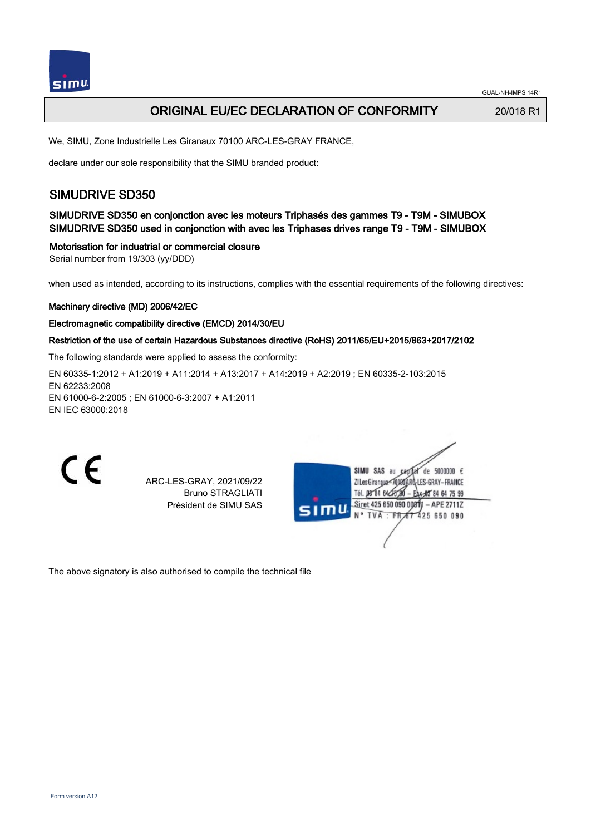

## ORIGINAL EU/EC DECLARATION OF CONFORMITY 20/018 R1

We, SIMU, Zone Industrielle Les Giranaux 70100 ARC-LES-GRAY FRANCE,

declare under our sole responsibility that the SIMU branded product:

## SIMUDRIVE SD350

SIMUDRIVE SD350 en conjonction avec les moteurs Triphasés des gammes T9 - T9M - SIMUBOX SIMUDRIVE SD350 used in conjonction with avec les Triphases drives range T9 - T9M - SIMUBOX

#### Motorisation for industrial or commercial closure

Serial number from 19/303 (yy/DDD)

when used as intended, according to its instructions, complies with the essential requirements of the following directives:

#### Machinery directive (MD) 2006/42/EC

#### Electromagnetic compatibility directive (EMCD) 2014/30/EU

#### Restriction of the use of certain Hazardous Substances directive (RoHS) 2011/65/EU+2015/863+2017/2102

The following standards were applied to assess the conformity:

EN 60335‑1:2012 + A1:2019 + A11:2014 + A13:2017 + A14:2019 + A2:2019 ; EN 60335‑2‑103:2015 EN 62233:2008 EN 61000‑6‑2:2005 ; EN 61000‑6‑3:2007 + A1:2011 EN IEC 63000:2018



ARC-LES-GRAY, 2021/09/22 Bruno STRAGLIATI Président de SIMU SAS



The above signatory is also authorised to compile the technical file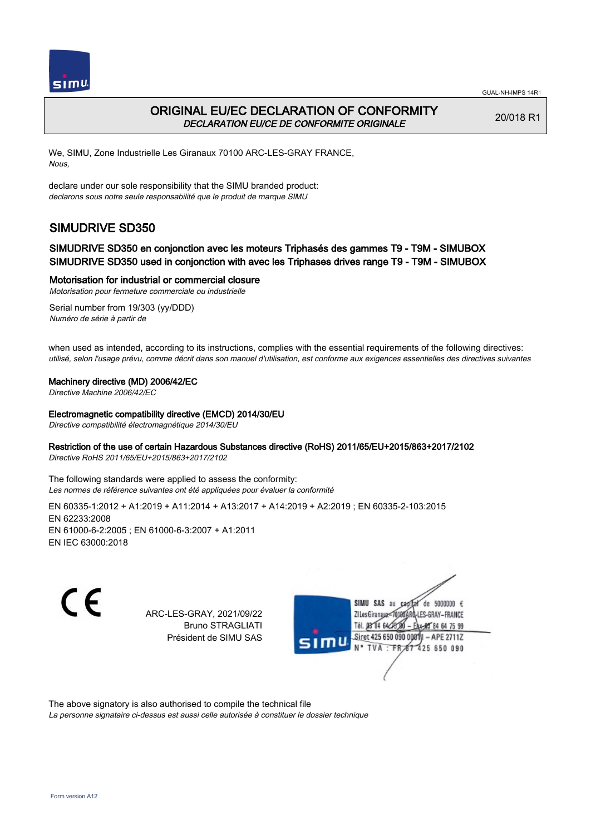



## ORIGINAL EU/EC DECLARATION OF CONFORMITY DECLARATION EU/CE DE CONFORMITE ORIGINALE

20/018 R1

We, SIMU, Zone Industrielle Les Giranaux 70100 ARC-LES-GRAY FRANCE, Nous,

declare under our sole responsibility that the SIMU branded product: declarons sous notre seule responsabilité que le produit de marque SIMU

# SIMUDRIVE SD350

### SIMUDRIVE SD350 en conjonction avec les moteurs Triphasés des gammes T9 - T9M - SIMUBOX SIMUDRIVE SD350 used in conjonction with avec les Triphases drives range T9 - T9M - SIMUBOX

Motorisation for industrial or commercial closure

Motorisation pour fermeture commerciale ou industrielle Serial number from 19/303 (yy/DDD) Numéro de série à partir de

when used as intended, according to its instructions, complies with the essential requirements of the following directives: utilisé, selon l'usage prévu, comme décrit dans son manuel d'utilisation, est conforme aux exigences essentielles des directives suivantes

#### Machinery directive (MD) 2006/42/EC

Directive Machine 2006/42/EC

#### Electromagnetic compatibility directive (EMCD) 2014/30/EU

Directive compatibilité électromagnétique 2014/30/EU

#### Restriction of the use of certain Hazardous Substances directive (RoHS) 2011/65/EU+2015/863+2017/2102

Directive RoHS 2011/65/EU+2015/863+2017/2102

The following standards were applied to assess the conformity: Les normes de référence suivantes ont été appliquées pour évaluer la conformité

EN 60335‑1:2012 + A1:2019 + A11:2014 + A13:2017 + A14:2019 + A2:2019 ; EN 60335‑2‑103:2015 EN 62233:2008 EN 61000‑6‑2:2005 ; EN 61000‑6‑3:2007 + A1:2011 EN IEC 63000:2018

C E

ARC-LES-GRAY, 2021/09/22 Bruno STRAGLIATI Président de SIMU SAS



The above signatory is also authorised to compile the technical file

La personne signataire ci-dessus est aussi celle autorisée à constituer le dossier technique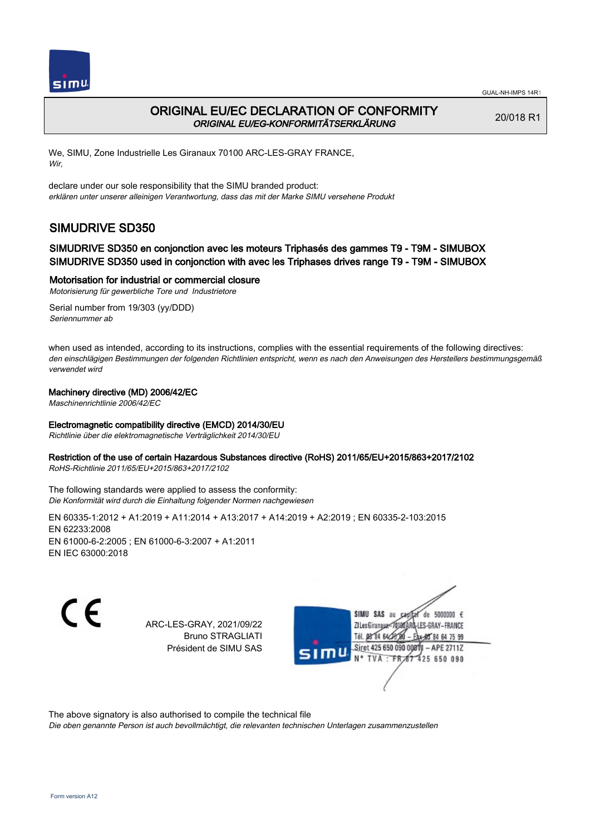

## ORIGINAL EU/EC DECLARATION OF CONFORMITY ORIGINAL EU/EG-KONFORMITÄTSERKLÄRUNG

20/018 R1

We, SIMU, Zone Industrielle Les Giranaux 70100 ARC-LES-GRAY FRANCE, Wir,

declare under our sole responsibility that the SIMU branded product: erklären unter unserer alleinigen Verantwortung, dass das mit der Marke SIMU versehene Produkt

# SIMUDRIVE SD350

### SIMUDRIVE SD350 en conjonction avec les moteurs Triphasés des gammes T9 - T9M - SIMUBOX SIMUDRIVE SD350 used in conjonction with avec les Triphases drives range T9 - T9M - SIMUBOX

Motorisation for industrial or commercial closure

Motorisierung für gewerbliche Tore und Industrietore Serial number from 19/303 (yy/DDD)

Seriennummer ab

when used as intended, according to its instructions, complies with the essential requirements of the following directives: den einschlägigen Bestimmungen der folgenden Richtlinien entspricht, wenn es nach den Anweisungen des Herstellers bestimmungsgemäß verwendet wird

#### Machinery directive (MD) 2006/42/EC

Maschinenrichtlinie 2006/42/EC

#### Electromagnetic compatibility directive (EMCD) 2014/30/EU

Richtlinie über die elektromagnetische Verträglichkeit 2014/30/EU

#### Restriction of the use of certain Hazardous Substances directive (RoHS) 2011/65/EU+2015/863+2017/2102

RoHS-Richtlinie 2011/65/EU+2015/863+2017/2102

The following standards were applied to assess the conformity: Die Konformität wird durch die Einhaltung folgender Normen nachgewiesen

EN 60335‑1:2012 + A1:2019 + A11:2014 + A13:2017 + A14:2019 + A2:2019 ; EN 60335‑2‑103:2015 EN 62233:2008 EN 61000‑6‑2:2005 ; EN 61000‑6‑3:2007 + A1:2011 EN IEC 63000:2018

C E

ARC-LES-GRAY, 2021/09/22 Bruno STRAGLIATI Président de SIMU SAS

de 5000000 € SIMU SAS **ZILesGirang** ES-GRAY-FRANCE Tél. 08 84 64 2 Siret 425 650 090 00811  $-$  APE 2711Z 425 650 090 TVA

The above signatory is also authorised to compile the technical file

Die oben genannte Person ist auch bevollmächtigt, die relevanten technischen Unterlagen zusammenzustellen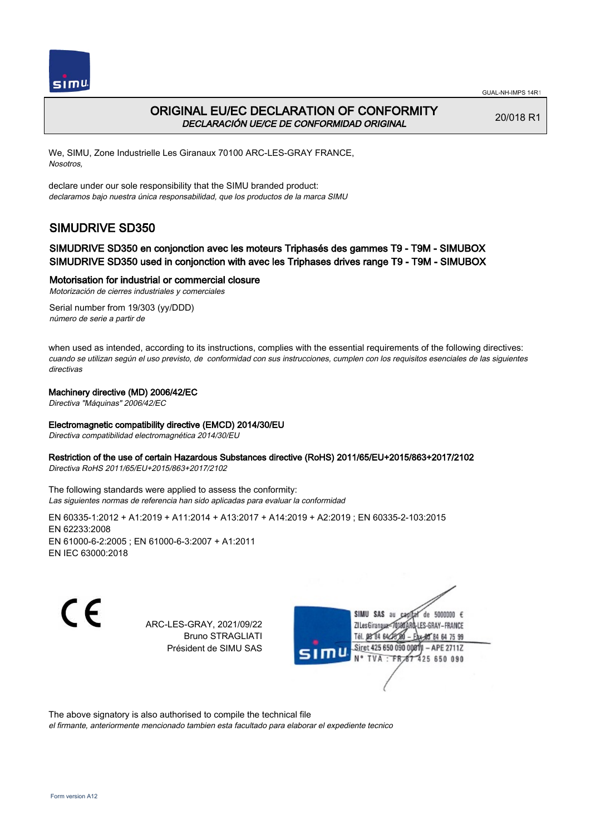



## ORIGINAL EU/EC DECLARATION OF CONFORMITY DECLARACIÓN UE/CE DE CONFORMIDAD ORIGINAL

20/018 R1

We, SIMU, Zone Industrielle Les Giranaux 70100 ARC-LES-GRAY FRANCE, Nosotros,

declare under our sole responsibility that the SIMU branded product: declaramos bajo nuestra única responsabilidad, que los productos de la marca SIMU

# SIMUDRIVE SD350

### SIMUDRIVE SD350 en conjonction avec les moteurs Triphasés des gammes T9 - T9M - SIMUBOX SIMUDRIVE SD350 used in conjonction with avec les Triphases drives range T9 - T9M - SIMUBOX

#### Motorisation for industrial or commercial closure

Motorización de cierres industriales y comerciales Serial number from 19/303 (yy/DDD)

número de serie a partir de

when used as intended, according to its instructions, complies with the essential requirements of the following directives: cuando se utilizan según el uso previsto, de conformidad con sus instrucciones, cumplen con los requisitos esenciales de las siguientes directivas

#### Machinery directive (MD) 2006/42/EC

Directiva "Máquinas" 2006/42/EC

#### Electromagnetic compatibility directive (EMCD) 2014/30/EU

Directiva compatibilidad electromagnética 2014/30/EU

#### Restriction of the use of certain Hazardous Substances directive (RoHS) 2011/65/EU+2015/863+2017/2102

Directiva RoHS 2011/65/EU+2015/863+2017/2102

The following standards were applied to assess the conformity: Las siguientes normas de referencia han sido aplicadas para evaluar la conformidad

EN 60335‑1:2012 + A1:2019 + A11:2014 + A13:2017 + A14:2019 + A2:2019 ; EN 60335‑2‑103:2015 EN 62233:2008 EN 61000‑6‑2:2005 ; EN 61000‑6‑3:2007 + A1:2011 EN IEC 63000:2018

C E

ARC-LES-GRAY, 2021/09/22 Bruno STRAGLIATI Président de SIMU SAS



The above signatory is also authorised to compile the technical file

el firmante, anteriormente mencionado tambien esta facultado para elaborar el expediente tecnico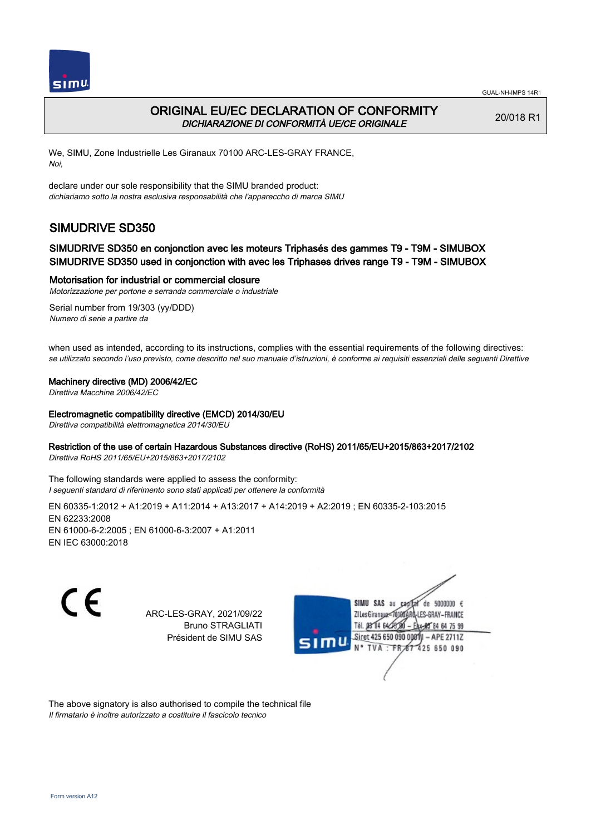

## ORIGINAL EU/EC DECLARATION OF CONFORMITY DICHIARAZIONE DI CONFORMITÀ UE/CE ORIGINALE

20/018 R1

We, SIMU, Zone Industrielle Les Giranaux 70100 ARC-LES-GRAY FRANCE, Noi,

declare under our sole responsibility that the SIMU branded product: dichiariamo sotto la nostra esclusiva responsabilità che l'appareccho di marca SIMU

# SIMUDRIVE SD350

### SIMUDRIVE SD350 en conjonction avec les moteurs Triphasés des gammes T9 - T9M - SIMUBOX SIMUDRIVE SD350 used in conjonction with avec les Triphases drives range T9 - T9M - SIMUBOX

#### Motorisation for industrial or commercial closure

Motorizzazione per portone e serranda commerciale o industriale

Serial number from 19/303 (yy/DDD) Numero di serie a partire da

when used as intended, according to its instructions, complies with the essential requirements of the following directives: se utilizzato secondo l'uso previsto, come descritto nel suo manuale d'istruzioni, è conforme ai requisiti essenziali delle seguenti Direttive

#### Machinery directive (MD) 2006/42/EC

Direttiva Macchine 2006/42/EC

#### Electromagnetic compatibility directive (EMCD) 2014/30/EU

Direttiva compatibilità elettromagnetica 2014/30/EU

#### Restriction of the use of certain Hazardous Substances directive (RoHS) 2011/65/EU+2015/863+2017/2102

Direttiva RoHS 2011/65/EU+2015/863+2017/2102

The following standards were applied to assess the conformity: I seguenti standard di riferimento sono stati applicati per ottenere la conformità

EN 60335‑1:2012 + A1:2019 + A11:2014 + A13:2017 + A14:2019 + A2:2019 ; EN 60335‑2‑103:2015 EN 62233:2008 EN 61000‑6‑2:2005 ; EN 61000‑6‑3:2007 + A1:2011 EN IEC 63000:2018

CE

ARC-LES-GRAY, 2021/09/22 Bruno STRAGLIATI Président de SIMU SAS



The above signatory is also authorised to compile the technical file Il firmatario è inoltre autorizzato a costituire il fascicolo tecnico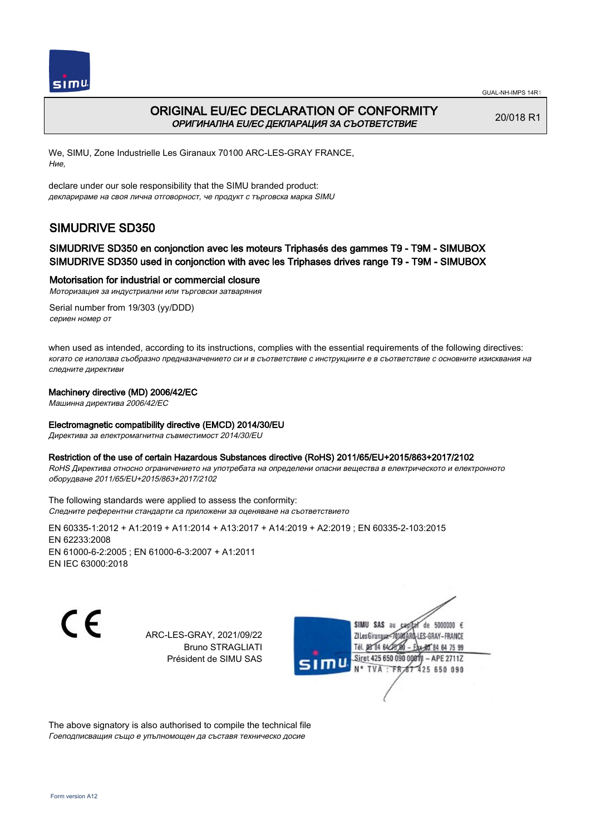



## ORIGINAL EU/EC DECLARATION OF CONFORMITY ОРИГИНАЛНА EU/EC ДЕКЛАРАЦИЯ ЗА СЪОТВЕТСТВИЕ

20/018 R1

We, SIMU, Zone Industrielle Les Giranaux 70100 ARC-LES-GRAY FRANCE, Ние,

declare under our sole responsibility that the SIMU branded product: декларираме на своя лична отговорност, че продукт с търговска марка SIMU

# SIMUDRIVE SD350

### SIMUDRIVE SD350 en conjonction avec les moteurs Triphasés des gammes T9 - T9M - SIMUBOX SIMUDRIVE SD350 used in conjonction with avec les Triphases drives range T9 - T9M - SIMUBOX

#### Motorisation for industrial or commercial closure

Моторизация за индустриални или търговски затваряния

Serial number from 19/303 (yy/DDD) сериен номер от

when used as intended, according to its instructions, complies with the essential requirements of the following directives: когато се използва съобразно предназначението си и в съответствие с инструкциите е в съответствие с основните изисквания на следните директиви

#### Machinery directive (MD) 2006/42/EC

Машинна директива 2006/42/EC

#### Electromagnetic compatibility directive (EMCD) 2014/30/EU

Директива за електромагнитна съвместимост 2014/30/EU

#### Restriction of the use of certain Hazardous Substances directive (RoHS) 2011/65/EU+2015/863+2017/2102

RoHS Директива относно ограничението на употребата на определени опасни вещества в електрическото и електронното оборудване 2011/65/EU+2015/863+2017/2102

The following standards were applied to assess the conformity: Следните референтни стандарти са приложени за оценяване на съответствието

EN 60335‑1:2012 + A1:2019 + A11:2014 + A13:2017 + A14:2019 + A2:2019 ; EN 60335‑2‑103:2015 EN 62233:2008 EN 61000‑6‑2:2005 ; EN 61000‑6‑3:2007 + A1:2011 EN IEC 63000:2018

C E

ARC-LES-GRAY, 2021/09/22 Bruno STRAGLIATI Président de SIMU SAS



The above signatory is also authorised to compile the technical file Гоеподписващия също е упълномощен да съставя техническо досие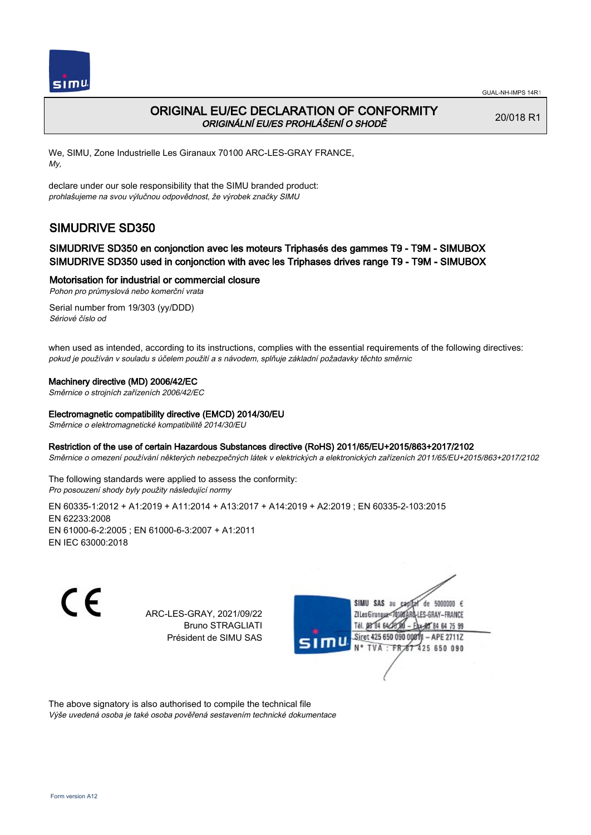

## ORIGINAL EU/EC DECLARATION OF CONFORMITY ORIGINÁLNÍ EU/ES PROHLÁŠENÍ O SHODĚ

20/018 R1

We, SIMU, Zone Industrielle Les Giranaux 70100 ARC-LES-GRAY FRANCE, My,

declare under our sole responsibility that the SIMU branded product: prohlašujeme na svou výlučnou odpovědnost, že výrobek značky SIMU

# SIMUDRIVE SD350

### SIMUDRIVE SD350 en conjonction avec les moteurs Triphasés des gammes T9 - T9M - SIMUBOX SIMUDRIVE SD350 used in conjonction with avec les Triphases drives range T9 - T9M - SIMUBOX

#### Motorisation for industrial or commercial closure

Pohon pro průmyslová nebo komerční vrata

Serial number from 19/303 (yy/DDD) Sériové číslo od

when used as intended, according to its instructions, complies with the essential requirements of the following directives: pokud je používán v souladu s účelem použití a s návodem, splňuje základní požadavky těchto směrnic

#### Machinery directive (MD) 2006/42/EC

Směrnice o strojních zařízeních 2006/42/EC

#### Electromagnetic compatibility directive (EMCD) 2014/30/EU

Směrnice o elektromagnetické kompatibilitě 2014/30/EU

#### Restriction of the use of certain Hazardous Substances directive (RoHS) 2011/65/EU+2015/863+2017/2102

Směrnice o omezení používání některých nebezpečných látek v elektrických a elektronických zařízeních 2011/65/EU+2015/863+2017/2102

The following standards were applied to assess the conformity: Pro posouzení shody byly použity následující normy

EN 60335‑1:2012 + A1:2019 + A11:2014 + A13:2017 + A14:2019 + A2:2019 ; EN 60335‑2‑103:2015 EN 62233:2008 EN 61000‑6‑2:2005 ; EN 61000‑6‑3:2007 + A1:2011 EN IEC 63000:2018

CE

ARC-LES-GRAY, 2021/09/22 Bruno STRAGLIATI Président de SIMU SAS



The above signatory is also authorised to compile the technical file Výše uvedená osoba je také osoba pověřená sestavením technické dokumentace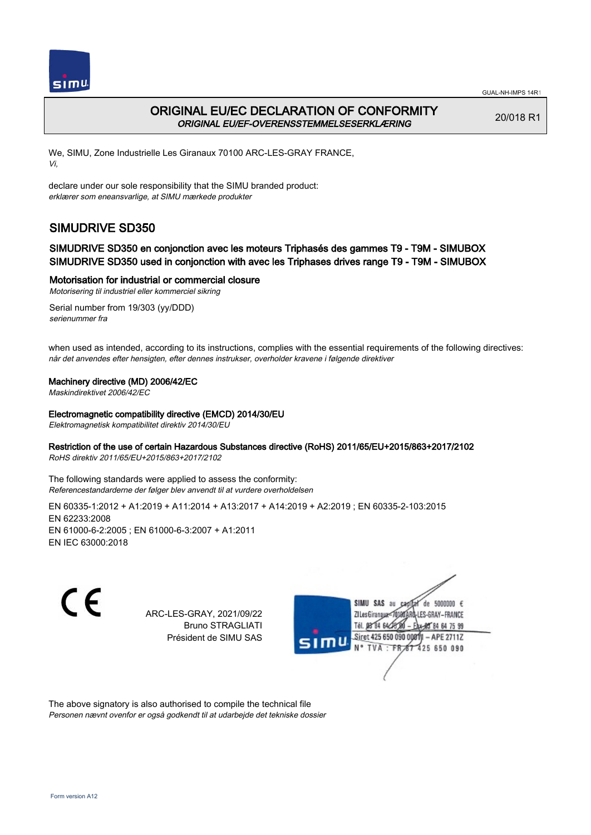



## ORIGINAL EU/EC DECLARATION OF CONFORMITY ORIGINAL EU/EF-OVERENSSTEMMELSESERKLÆRING

20/018 R1

We, SIMU, Zone Industrielle Les Giranaux 70100 ARC-LES-GRAY FRANCE, Vi,

declare under our sole responsibility that the SIMU branded product: erklærer som eneansvarlige, at SIMU mærkede produkter

# SIMUDRIVE SD350

### SIMUDRIVE SD350 en conjonction avec les moteurs Triphasés des gammes T9 - T9M - SIMUBOX SIMUDRIVE SD350 used in conjonction with avec les Triphases drives range T9 - T9M - SIMUBOX

#### Motorisation for industrial or commercial closure

Motorisering til industriel eller kommerciel sikring

Serial number from 19/303 (yy/DDD) serienummer fra

when used as intended, according to its instructions, complies with the essential requirements of the following directives: når det anvendes efter hensigten, efter dennes instrukser, overholder kravene i følgende direktiver

#### Machinery directive (MD) 2006/42/EC

Maskindirektivet 2006/42/EC

#### Electromagnetic compatibility directive (EMCD) 2014/30/EU

Elektromagnetisk kompatibilitet direktiv 2014/30/EU

#### Restriction of the use of certain Hazardous Substances directive (RoHS) 2011/65/EU+2015/863+2017/2102

RoHS direktiv 2011/65/EU+2015/863+2017/2102

The following standards were applied to assess the conformity: Referencestandarderne der følger blev anvendt til at vurdere overholdelsen

EN 60335‑1:2012 + A1:2019 + A11:2014 + A13:2017 + A14:2019 + A2:2019 ; EN 60335‑2‑103:2015 EN 62233:2008 EN 61000‑6‑2:2005 ; EN 61000‑6‑3:2007 + A1:2011 EN IEC 63000:2018

CE

ARC-LES-GRAY, 2021/09/22 Bruno STRAGLIATI Président de SIMU SAS



The above signatory is also authorised to compile the technical file Personen nævnt ovenfor er også godkendt til at udarbejde det tekniske dossier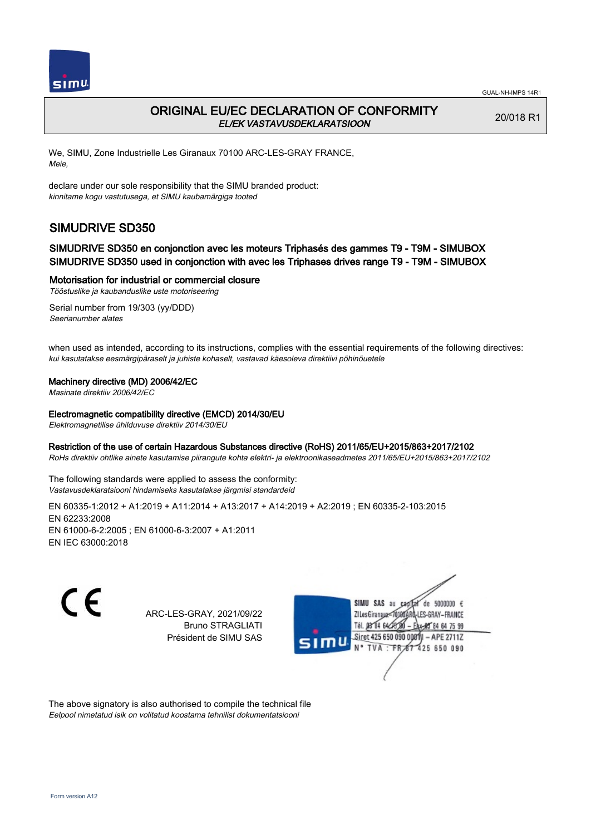

## ORIGINAL EU/EC DECLARATION OF CONFORMITY EL/EK VASTAVUSDEKLARATSIOON

20/018 R1

We, SIMU, Zone Industrielle Les Giranaux 70100 ARC-LES-GRAY FRANCE, Meie,

declare under our sole responsibility that the SIMU branded product: kinnitame kogu vastutusega, et SIMU kaubamärgiga tooted

# SIMUDRIVE SD350

### SIMUDRIVE SD350 en conjonction avec les moteurs Triphasés des gammes T9 - T9M - SIMUBOX SIMUDRIVE SD350 used in conjonction with avec les Triphases drives range T9 - T9M - SIMUBOX

#### Motorisation for industrial or commercial closure

Tööstuslike ja kaubanduslike uste motoriseering

Serial number from 19/303 (yy/DDD) Seerianumber alates

when used as intended, according to its instructions, complies with the essential requirements of the following directives: kui kasutatakse eesmärgipäraselt ja juhiste kohaselt, vastavad käesoleva direktiivi põhinõuetele

#### Machinery directive (MD) 2006/42/EC

Masinate direktiiv 2006/42/EC

#### Electromagnetic compatibility directive (EMCD) 2014/30/EU

Elektromagnetilise ühilduvuse direktiiv 2014/30/EU

#### Restriction of the use of certain Hazardous Substances directive (RoHS) 2011/65/EU+2015/863+2017/2102

RoHs direktiiv ohtlike ainete kasutamise piirangute kohta elektri- ja elektroonikaseadmetes 2011/65/EU+2015/863+2017/2102

The following standards were applied to assess the conformity: Vastavusdeklaratsiooni hindamiseks kasutatakse järgmisi standardeid

EN 60335‑1:2012 + A1:2019 + A11:2014 + A13:2017 + A14:2019 + A2:2019 ; EN 60335‑2‑103:2015 EN 62233:2008 EN 61000‑6‑2:2005 ; EN 61000‑6‑3:2007 + A1:2011 EN IEC 63000:2018

CE

ARC-LES-GRAY, 2021/09/22 Bruno STRAGLIATI Président de SIMU SAS



The above signatory is also authorised to compile the technical file Eelpool nimetatud isik on volitatud koostama tehnilist dokumentatsiooni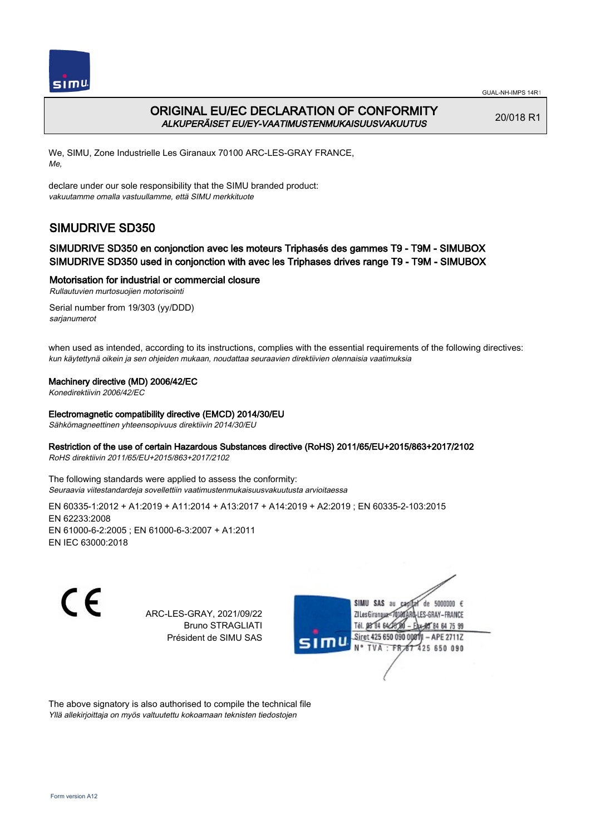

## ORIGINAL EU/EC DECLARATION OF CONFORMITY ALKUPERÄISET EU/EY-VAATIMUSTENMUKAISUUSVAKUUTUS

20/018 R1

We, SIMU, Zone Industrielle Les Giranaux 70100 ARC-LES-GRAY FRANCE, Me,

declare under our sole responsibility that the SIMU branded product: vakuutamme omalla vastuullamme, että SIMU merkkituote

# SIMUDRIVE SD350

### SIMUDRIVE SD350 en conjonction avec les moteurs Triphasés des gammes T9 - T9M - SIMUBOX SIMUDRIVE SD350 used in conjonction with avec les Triphases drives range T9 - T9M - SIMUBOX

#### Motorisation for industrial or commercial closure

Rullautuvien murtosuojien motorisointi

Serial number from 19/303 (yy/DDD) sarjanumerot

when used as intended, according to its instructions, complies with the essential requirements of the following directives: kun käytettynä oikein ja sen ohjeiden mukaan, noudattaa seuraavien direktiivien olennaisia vaatimuksia

#### Machinery directive (MD) 2006/42/EC

Konedirektiivin 2006/42/EC

Electromagnetic compatibility directive (EMCD) 2014/30/EU

Sähkömagneettinen yhteensopivuus direktiivin 2014/30/EU

#### Restriction of the use of certain Hazardous Substances directive (RoHS) 2011/65/EU+2015/863+2017/2102

RoHS direktiivin 2011/65/EU+2015/863+2017/2102

The following standards were applied to assess the conformity: Seuraavia viitestandardeja sovellettiin vaatimustenmukaisuusvakuutusta arvioitaessa

EN 60335‑1:2012 + A1:2019 + A11:2014 + A13:2017 + A14:2019 + A2:2019 ; EN 60335‑2‑103:2015 EN 62233:2008 EN 61000‑6‑2:2005 ; EN 61000‑6‑3:2007 + A1:2011 EN IEC 63000:2018

CE

ARC-LES-GRAY, 2021/09/22 Bruno STRAGLIATI Président de SIMU SAS



The above signatory is also authorised to compile the technical file Yllä allekirjoittaja on myös valtuutettu kokoamaan teknisten tiedostojen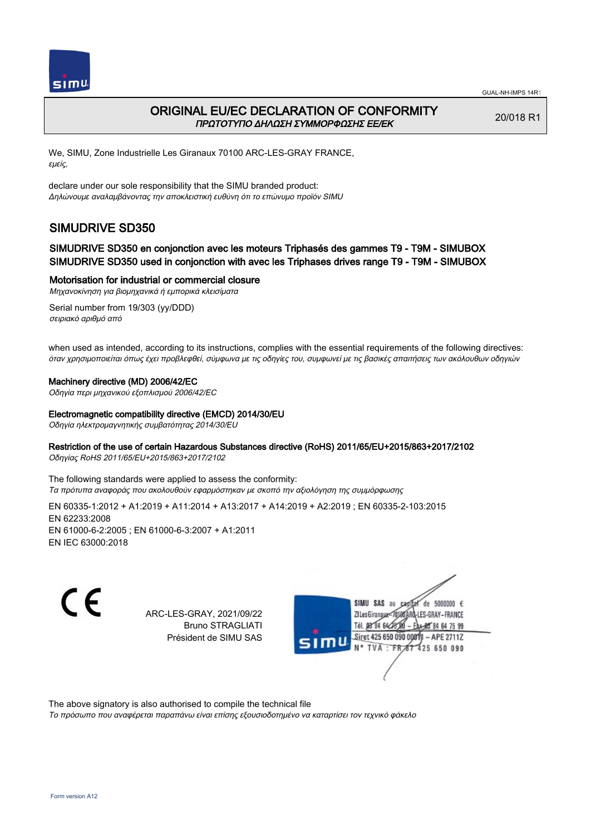

## ORIGINAL EU/EC DECLARATION OF CONFORMITY ΠΡΩΤΟΤΥΠΟ ΔΗΛΩΣΗ ΣΥΜΜΟΡΦΩΣΗΣ ΕΕ/EK

20/018 R1

We, SIMU, Zone Industrielle Les Giranaux 70100 ARC-LES-GRAY FRANCE, εμείς,

declare under our sole responsibility that the SIMU branded product: Δηλώνουμε αναλαμβάνοντας την αποκλειστική ευθύνη ότι το επώνυμο προϊόν SIMU

# SIMUDRIVE SD350

### SIMUDRIVE SD350 en conjonction avec les moteurs Triphasés des gammes T9 - T9M - SIMUBOX SIMUDRIVE SD350 used in conjonction with avec les Triphases drives range T9 - T9M - SIMUBOX

Motorisation for industrial or commercial closure

Μηχανοκίνηση για βιομηχανικά ή εμπορικά κλεισίματα Serial number from 19/303 (yy/DDD)

σειριακό αριθμό από

when used as intended, according to its instructions, complies with the essential requirements of the following directives: όταν χρησιμοποιείται όπως έχει προβλεφθεί, σύμφωνα με τις οδηγίες του, συμφωνεί με τις βασικές απαιτήσεις των ακόλουθων οδηγιών

#### Machinery directive (MD) 2006/42/EC

Οδηγία περι μηχανικού εξοπλισμού 2006/42/EC

#### Electromagnetic compatibility directive (EMCD) 2014/30/EU

Οδηγία ηλεκτρομαγνητικής συμβατότητας 2014/30/EU

#### Restriction of the use of certain Hazardous Substances directive (RoHS) 2011/65/EU+2015/863+2017/2102

Οδηγίας RoHS 2011/65/EU+2015/863+2017/2102

The following standards were applied to assess the conformity: Τα πρότυπα αναφοράς που ακολουθούν εφαρμόστηκαν με σκοπό την αξιολόγηση της συμμόρφωσης

EN 60335‑1:2012 + A1:2019 + A11:2014 + A13:2017 + A14:2019 + A2:2019 ; EN 60335‑2‑103:2015 EN 62233:2008 EN 61000‑6‑2:2005 ; EN 61000‑6‑3:2007 + A1:2011 EN IEC 63000:2018

C E

ARC-LES-GRAY, 2021/09/22 Bruno STRAGLIATI Président de SIMU SAS



The above signatory is also authorised to compile the technical file

Το πρόσωπο που αναφέρεται παραπάνω είναι επίσης εξουσιοδοτημένο να καταρτίσει τον τεχνικό φάκελο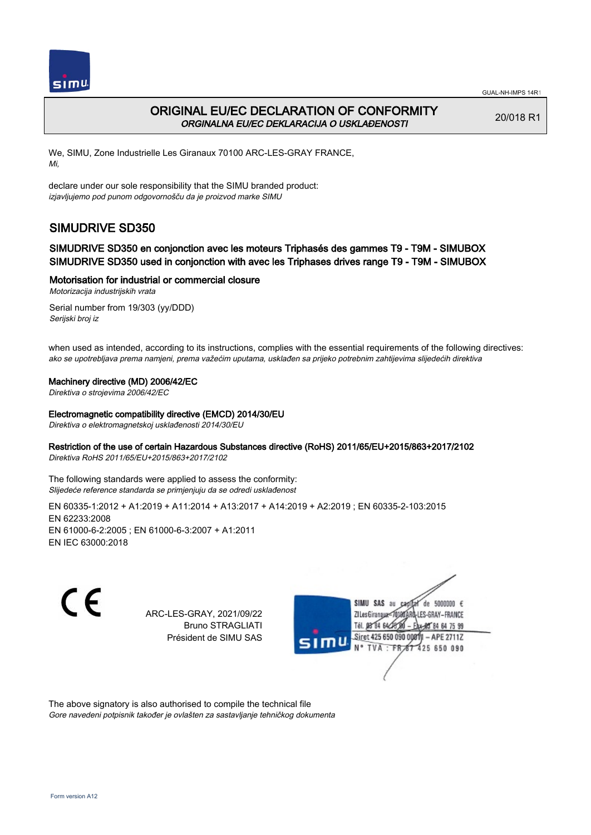

## ORIGINAL EU/EC DECLARATION OF CONFORMITY ORGINALNA EU/EC DEKLARACIJA O USKLAĐENOSTI

20/018 R1

We, SIMU, Zone Industrielle Les Giranaux 70100 ARC-LES-GRAY FRANCE, Mi,

declare under our sole responsibility that the SIMU branded product: izjavljujemo pod punom odgovornošču da je proizvod marke SIMU

# SIMUDRIVE SD350

### SIMUDRIVE SD350 en conjonction avec les moteurs Triphasés des gammes T9 - T9M - SIMUBOX SIMUDRIVE SD350 used in conjonction with avec les Triphases drives range T9 - T9M - SIMUBOX

#### Motorisation for industrial or commercial closure

Motorizacija industrijskih vrata

Serial number from 19/303 (yy/DDD) Serijski broj iz

when used as intended, according to its instructions, complies with the essential requirements of the following directives: ako se upotrebljava prema namjeni, prema važećim uputama, usklađen sa prijeko potrebnim zahtijevima slijedećih direktiva

#### Machinery directive (MD) 2006/42/EC

Direktiva o strojevima 2006/42/EC

#### Electromagnetic compatibility directive (EMCD) 2014/30/EU

Direktiva o elektromagnetskoj usklađenosti 2014/30/EU

#### Restriction of the use of certain Hazardous Substances directive (RoHS) 2011/65/EU+2015/863+2017/2102

Direktiva RoHS 2011/65/EU+2015/863+2017/2102

The following standards were applied to assess the conformity: Slijedeće reference standarda se primjenjuju da se odredi usklađenost

EN 60335‑1:2012 + A1:2019 + A11:2014 + A13:2017 + A14:2019 + A2:2019 ; EN 60335‑2‑103:2015 EN 62233:2008 EN 61000‑6‑2:2005 ; EN 61000‑6‑3:2007 + A1:2011 EN IEC 63000:2018

C E

ARC-LES-GRAY, 2021/09/22 Bruno STRAGLIATI Président de SIMU SAS



The above signatory is also authorised to compile the technical file Gore navedeni potpisnik također je ovlašten za sastavljanje tehničkog dokumenta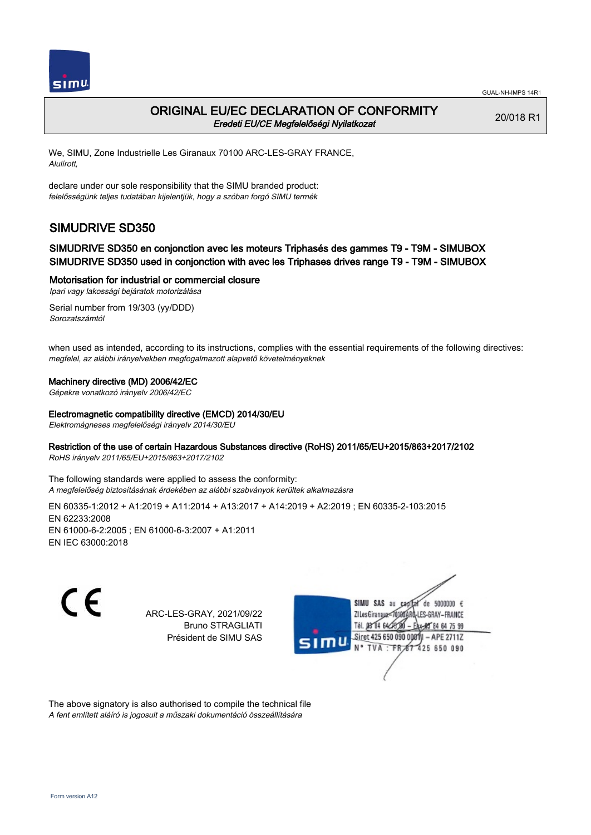

## ORIGINAL EU/EC DECLARATION OF CONFORMITY Eredeti EU/CE Megfelelőségi Nyilatkozat

20/018 R1

We, SIMU, Zone Industrielle Les Giranaux 70100 ARC-LES-GRAY FRANCE, Alulírott,

declare under our sole responsibility that the SIMU branded product: felelősségünk teljes tudatában kijelentjük, hogy a szóban forgó SIMU termék

# SIMUDRIVE SD350

### SIMUDRIVE SD350 en conjonction avec les moteurs Triphasés des gammes T9 - T9M - SIMUBOX SIMUDRIVE SD350 used in conjonction with avec les Triphases drives range T9 - T9M - SIMUBOX

#### Motorisation for industrial or commercial closure

Ipari vagy lakossági bejáratok motorizálása

Serial number from 19/303 (yy/DDD) Sorozatszámtól

when used as intended, according to its instructions, complies with the essential requirements of the following directives: megfelel, az alábbi irányelvekben megfogalmazott alapvető követelményeknek

#### Machinery directive (MD) 2006/42/EC

Gépekre vonatkozó irányelv 2006/42/EC

Electromagnetic compatibility directive (EMCD) 2014/30/EU

Elektromágneses megfelelőségi irányelv 2014/30/EU

#### Restriction of the use of certain Hazardous Substances directive (RoHS) 2011/65/EU+2015/863+2017/2102

RoHS irányelv 2011/65/EU+2015/863+2017/2102

The following standards were applied to assess the conformity: A megfelelőség biztosításának érdekében az alábbi szabványok kerültek alkalmazásra

EN 60335‑1:2012 + A1:2019 + A11:2014 + A13:2017 + A14:2019 + A2:2019 ; EN 60335‑2‑103:2015 EN 62233:2008 EN 61000‑6‑2:2005 ; EN 61000‑6‑3:2007 + A1:2011 EN IEC 63000:2018

CE

ARC-LES-GRAY, 2021/09/22 Bruno STRAGLIATI Président de SIMU SAS



The above signatory is also authorised to compile the technical file A fent említett aláíró is jogosult a műszaki dokumentáció összeállítására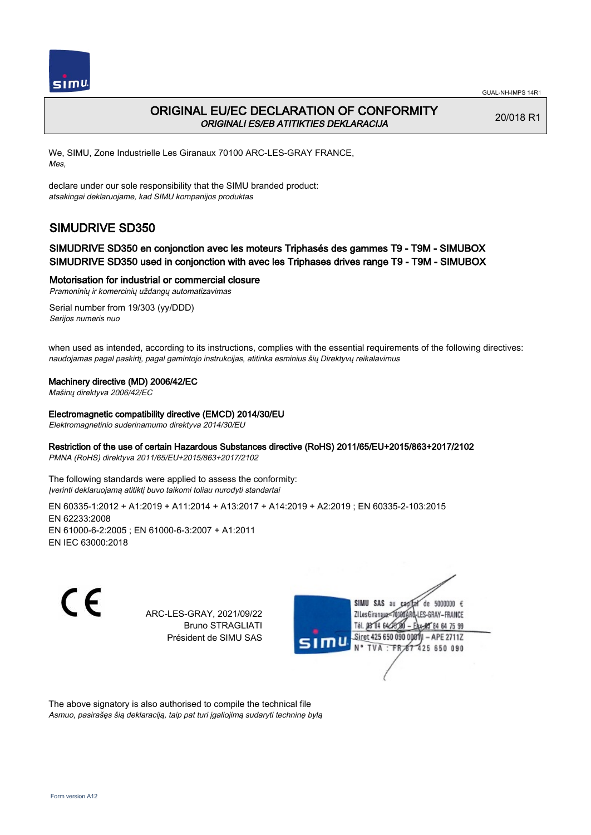

## ORIGINAL EU/EC DECLARATION OF CONFORMITY ORIGINALI ES/EB ATITIKTIES DEKLARACIJA

20/018 R1

We, SIMU, Zone Industrielle Les Giranaux 70100 ARC-LES-GRAY FRANCE, Mes,

declare under our sole responsibility that the SIMU branded product: atsakingai deklaruojame, kad SIMU kompanijos produktas

# SIMUDRIVE SD350

### SIMUDRIVE SD350 en conjonction avec les moteurs Triphasés des gammes T9 - T9M - SIMUBOX SIMUDRIVE SD350 used in conjonction with avec les Triphases drives range T9 - T9M - SIMUBOX

Motorisation for industrial or commercial closure

Pramoninių ir komercinių uždangų automatizavimas Serial number from 19/303 (yy/DDD) Serijos numeris nuo

when used as intended, according to its instructions, complies with the essential requirements of the following directives: naudojamas pagal paskirtį, pagal gamintojo instrukcijas, atitinka esminius šių Direktyvų reikalavimus

#### Machinery directive (MD) 2006/42/EC

Mašinų direktyva 2006/42/EC

#### Electromagnetic compatibility directive (EMCD) 2014/30/EU

Elektromagnetinio suderinamumo direktyva 2014/30/EU

#### Restriction of the use of certain Hazardous Substances directive (RoHS) 2011/65/EU+2015/863+2017/2102

PMNA (RoHS) direktyva 2011/65/EU+2015/863+2017/2102

The following standards were applied to assess the conformity: Įverinti deklaruojamą atitiktį buvo taikomi toliau nurodyti standartai

EN 60335‑1:2012 + A1:2019 + A11:2014 + A13:2017 + A14:2019 + A2:2019 ; EN 60335‑2‑103:2015 EN 62233:2008 EN 61000‑6‑2:2005 ; EN 61000‑6‑3:2007 + A1:2011 EN IEC 63000:2018

CE

ARC-LES-GRAY, 2021/09/22 Bruno STRAGLIATI Président de SIMU SAS



The above signatory is also authorised to compile the technical file Asmuo, pasirašęs šią deklaraciją, taip pat turi įgaliojimą sudaryti techninę bylą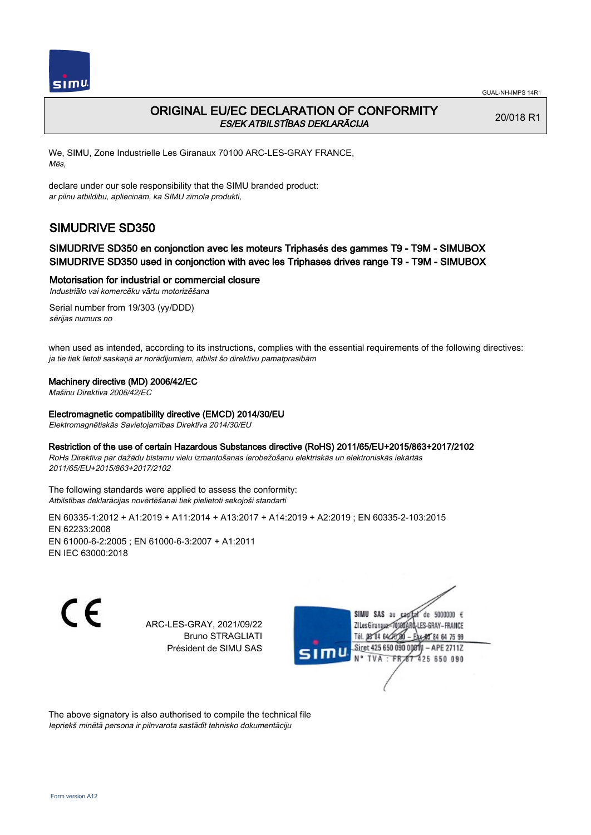

## ORIGINAL EU/EC DECLARATION OF CONFORMITY ES/EK ATBILSTĪBAS DEKLARĀCIJA

20/018 R1

We, SIMU, Zone Industrielle Les Giranaux 70100 ARC-LES-GRAY FRANCE, Mēs,

declare under our sole responsibility that the SIMU branded product: ar pilnu atbildību, apliecinām, ka SIMU zīmola produkti,

# SIMUDRIVE SD350

### SIMUDRIVE SD350 en conjonction avec les moteurs Triphasés des gammes T9 - T9M - SIMUBOX SIMUDRIVE SD350 used in conjonction with avec les Triphases drives range T9 - T9M - SIMUBOX

#### Motorisation for industrial or commercial closure

Industriālo vai komercēku vārtu motorizēšana

Serial number from 19/303 (yy/DDD) sērijas numurs no

when used as intended, according to its instructions, complies with the essential requirements of the following directives: ja tie tiek lietoti saskaņā ar norādījumiem, atbilst šo direktīvu pamatprasībām

#### Machinery directive (MD) 2006/42/EC

Mašīnu Direktīva 2006/42/EC

#### Electromagnetic compatibility directive (EMCD) 2014/30/EU

Elektromagnētiskās Savietojamības Direktīva 2014/30/EU

## Restriction of the use of certain Hazardous Substances directive (RoHS) 2011/65/EU+2015/863+2017/2102

RoHs Direktīva par dažādu bīstamu vielu izmantošanas ierobežošanu elektriskās un elektroniskās iekārtās 2011/65/EU+2015/863+2017/2102

The following standards were applied to assess the conformity: Atbilstības deklarācijas novērtēšanai tiek pielietoti sekojoši standarti

EN 60335‑1:2012 + A1:2019 + A11:2014 + A13:2017 + A14:2019 + A2:2019 ; EN 60335‑2‑103:2015 EN 62233:2008 EN 61000‑6‑2:2005 ; EN 61000‑6‑3:2007 + A1:2011 EN IEC 63000:2018

 $\epsilon$ 

ARC-LES-GRAY, 2021/09/22 Bruno STRAGLIATI Président de SIMU SAS



The above signatory is also authorised to compile the technical file Iepriekš minētā persona ir pilnvarota sastādīt tehnisko dokumentāciju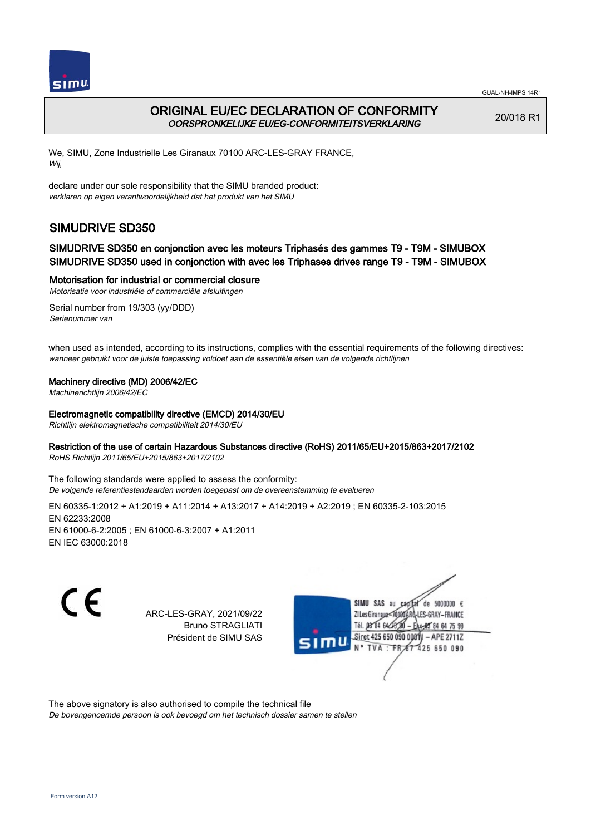

## ORIGINAL EU/EC DECLARATION OF CONFORMITY OORSPRONKELIJKE EU/EG-CONFORMITEITSVERKLARING

20/018 R1

We, SIMU, Zone Industrielle Les Giranaux 70100 ARC-LES-GRAY FRANCE, Wij,

declare under our sole responsibility that the SIMU branded product: verklaren op eigen verantwoordelijkheid dat het produkt van het SIMU

# SIMUDRIVE SD350

### SIMUDRIVE SD350 en conjonction avec les moteurs Triphasés des gammes T9 - T9M - SIMUBOX SIMUDRIVE SD350 used in conjonction with avec les Triphases drives range T9 - T9M - SIMUBOX

Motorisation for industrial or commercial closure

Motorisatie voor industriële of commerciële afsluitingen

Serial number from 19/303 (yy/DDD) Serienummer van

when used as intended, according to its instructions, complies with the essential requirements of the following directives: wanneer gebruikt voor de juiste toepassing voldoet aan de essentiële eisen van de volgende richtlijnen

#### Machinery directive (MD) 2006/42/EC

Machinerichtlijn 2006/42/EC

#### Electromagnetic compatibility directive (EMCD) 2014/30/EU

Richtlijn elektromagnetische compatibiliteit 2014/30/EU

#### Restriction of the use of certain Hazardous Substances directive (RoHS) 2011/65/EU+2015/863+2017/2102

RoHS Richtlijn 2011/65/EU+2015/863+2017/2102

The following standards were applied to assess the conformity: De volgende referentiestandaarden worden toegepast om de overeenstemming te evalueren

EN 60335‑1:2012 + A1:2019 + A11:2014 + A13:2017 + A14:2019 + A2:2019 ; EN 60335‑2‑103:2015 EN 62233:2008 EN 61000‑6‑2:2005 ; EN 61000‑6‑3:2007 + A1:2011 EN IEC 63000:2018

C E

ARC-LES-GRAY, 2021/09/22 Bruno STRAGLIATI Président de SIMU SAS



The above signatory is also authorised to compile the technical file De bovengenoemde persoon is ook bevoegd om het technisch dossier samen te stellen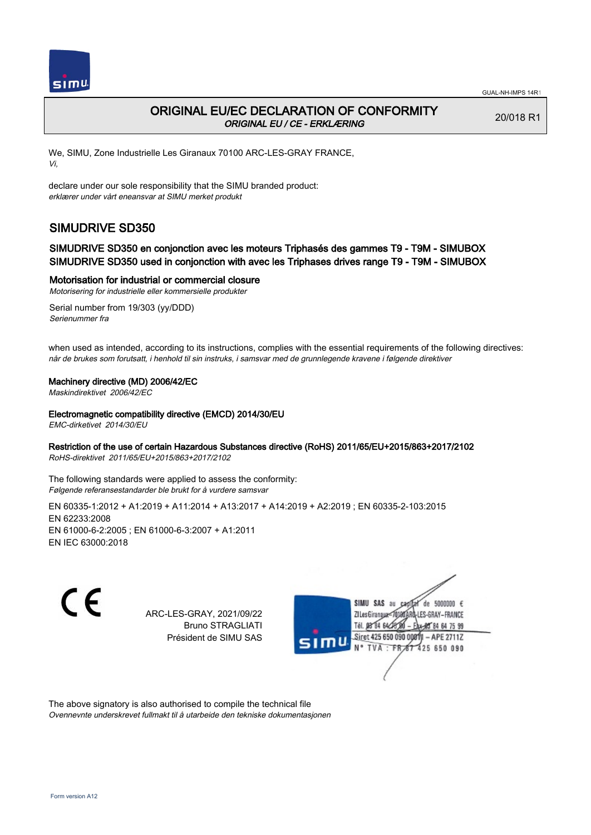

## ORIGINAL EU/EC DECLARATION OF CONFORMITY ORIGINAL EU / CE - ERKLÆRING

20/018 R1

We, SIMU, Zone Industrielle Les Giranaux 70100 ARC-LES-GRAY FRANCE, Vi,

declare under our sole responsibility that the SIMU branded product: erklærer under vårt eneansvar at SIMU merket produkt

# SIMUDRIVE SD350

### SIMUDRIVE SD350 en conjonction avec les moteurs Triphasés des gammes T9 - T9M - SIMUBOX SIMUDRIVE SD350 used in conjonction with avec les Triphases drives range T9 - T9M - SIMUBOX

Motorisation for industrial or commercial closure

Motorisering for industrielle eller kommersielle produkter

Serial number from 19/303 (yy/DDD) Serienummer fra

when used as intended, according to its instructions, complies with the essential requirements of the following directives: når de brukes som forutsatt, i henhold til sin instruks, i samsvar med de grunnlegende kravene i følgende direktiver

#### Machinery directive (MD) 2006/42/EC

Maskindirektivet 2006/42/EC

Electromagnetic compatibility directive (EMCD) 2014/30/EU

EMC-dirketivet 2014/30/EU

#### Restriction of the use of certain Hazardous Substances directive (RoHS) 2011/65/EU+2015/863+2017/2102

RoHS-direktivet 2011/65/EU+2015/863+2017/2102

The following standards were applied to assess the conformity: Følgende referansestandarder ble brukt for å vurdere samsvar

EN 60335‑1:2012 + A1:2019 + A11:2014 + A13:2017 + A14:2019 + A2:2019 ; EN 60335‑2‑103:2015 EN 62233:2008 EN 61000‑6‑2:2005 ; EN 61000‑6‑3:2007 + A1:2011 EN IEC 63000:2018

CE

ARC-LES-GRAY, 2021/09/22 Bruno STRAGLIATI Président de SIMU SAS



The above signatory is also authorised to compile the technical file Ovennevnte underskrevet fullmakt til å utarbeide den tekniske dokumentasjonen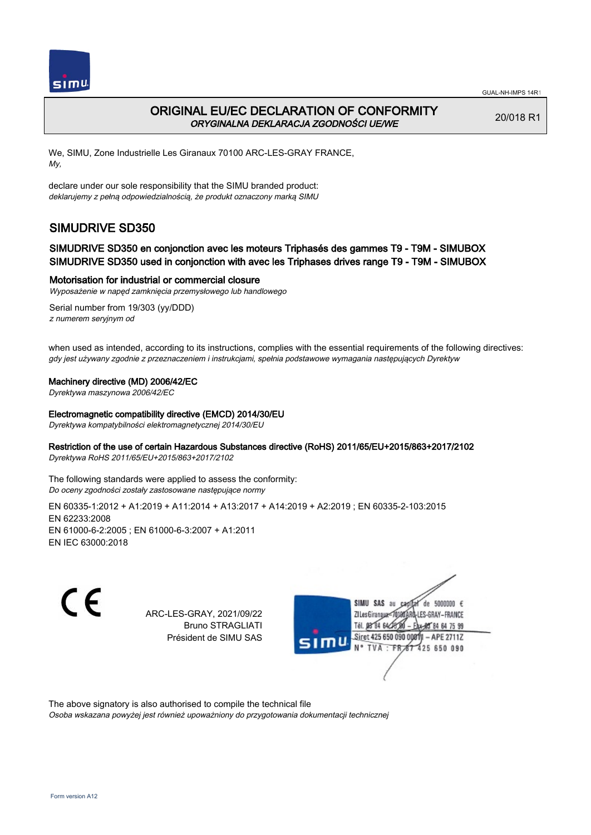

## ORIGINAL EU/EC DECLARATION OF CONFORMITY ORYGINALNA DEKLARACJA ZGODNOŚCI UE/WE

20/018 R1

We, SIMU, Zone Industrielle Les Giranaux 70100 ARC-LES-GRAY FRANCE, My,

declare under our sole responsibility that the SIMU branded product: deklarujemy z pełną odpowiedzialnością, że produkt oznaczony marką SIMU

# SIMUDRIVE SD350

### SIMUDRIVE SD350 en conjonction avec les moteurs Triphasés des gammes T9 - T9M - SIMUBOX SIMUDRIVE SD350 used in conjonction with avec les Triphases drives range T9 - T9M - SIMUBOX

#### Motorisation for industrial or commercial closure

Wyposażenie w napęd zamknięcia przemysłowego lub handlowego

Serial number from 19/303 (yy/DDD) z numerem seryjnym od

when used as intended, according to its instructions, complies with the essential requirements of the following directives: gdy jest używany zgodnie z przeznaczeniem i instrukcjami, spełnia podstawowe wymagania następujących Dyrektyw

#### Machinery directive (MD) 2006/42/EC

Dyrektywa maszynowa 2006/42/EC

#### Electromagnetic compatibility directive (EMCD) 2014/30/EU

Dyrektywa kompatybilności elektromagnetycznej 2014/30/EU

#### Restriction of the use of certain Hazardous Substances directive (RoHS) 2011/65/EU+2015/863+2017/2102

Dyrektywa RoHS 2011/65/EU+2015/863+2017/2102

The following standards were applied to assess the conformity: Do oceny zgodności zostały zastosowane następujące normy

EN 60335‑1:2012 + A1:2019 + A11:2014 + A13:2017 + A14:2019 + A2:2019 ; EN 60335‑2‑103:2015 EN 62233:2008 EN 61000‑6‑2:2005 ; EN 61000‑6‑3:2007 + A1:2011 EN IEC 63000:2018

C E

ARC-LES-GRAY, 2021/09/22 Bruno STRAGLIATI Président de SIMU SAS



The above signatory is also authorised to compile the technical file

Osoba wskazana powyżej jest również upoważniony do przygotowania dokumentacji technicznej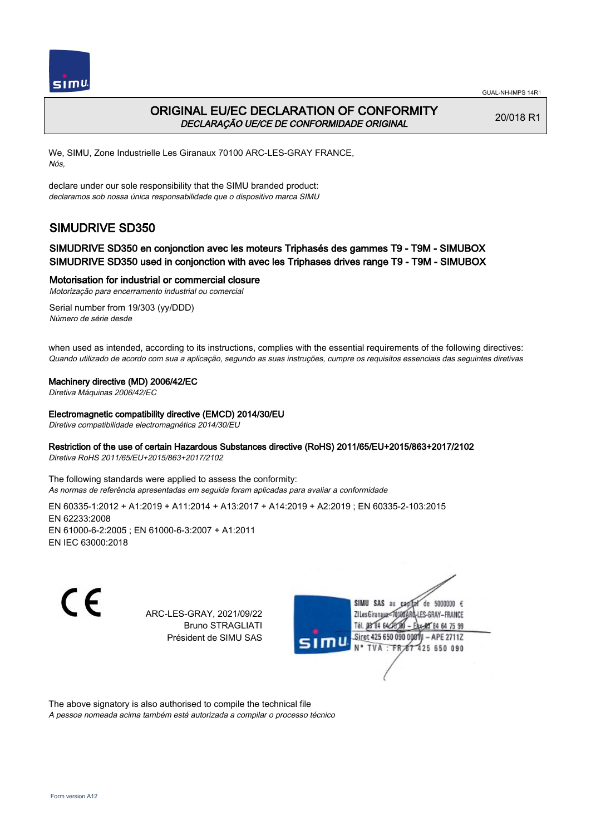



## ORIGINAL EU/EC DECLARATION OF CONFORMITY DECLARAÇÃO UE/CE DE CONFORMIDADE ORIGINAL

20/018 R1

We, SIMU, Zone Industrielle Les Giranaux 70100 ARC-LES-GRAY FRANCE, Nós,

declare under our sole responsibility that the SIMU branded product: declaramos sob nossa única responsabilidade que o dispositivo marca SIMU

# SIMUDRIVE SD350

### SIMUDRIVE SD350 en conjonction avec les moteurs Triphasés des gammes T9 - T9M - SIMUBOX SIMUDRIVE SD350 used in conjonction with avec les Triphases drives range T9 - T9M - SIMUBOX

Motorisation for industrial or commercial closure

Motorização para encerramento industrial ou comercial

Serial number from 19/303 (yy/DDD) Número de série desde

when used as intended, according to its instructions, complies with the essential requirements of the following directives: Quando utilizado de acordo com sua a aplicação, segundo as suas instruções, cumpre os requisitos essenciais das seguintes diretivas

#### Machinery directive (MD) 2006/42/EC

Diretiva Máquinas 2006/42/EC

#### Electromagnetic compatibility directive (EMCD) 2014/30/EU

Diretiva compatibilidade electromagnética 2014/30/EU

#### Restriction of the use of certain Hazardous Substances directive (RoHS) 2011/65/EU+2015/863+2017/2102

Diretiva RoHS 2011/65/EU+2015/863+2017/2102

The following standards were applied to assess the conformity: As normas de referência apresentadas em seguida foram aplicadas para avaliar a conformidade

EN 60335‑1:2012 + A1:2019 + A11:2014 + A13:2017 + A14:2019 + A2:2019 ; EN 60335‑2‑103:2015 EN 62233:2008 EN 61000‑6‑2:2005 ; EN 61000‑6‑3:2007 + A1:2011 EN IEC 63000:2018

C E

ARC-LES-GRAY, 2021/09/22 Bruno STRAGLIATI Président de SIMU SAS



The above signatory is also authorised to compile the technical file

A pessoa nomeada acima também está autorizada a compilar o processo técnico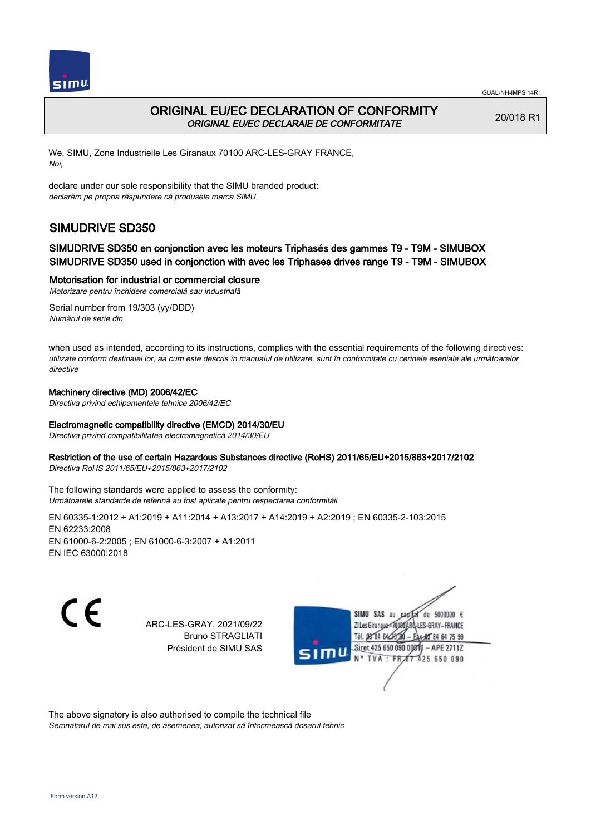



## ORIGINAL EU/EC DECLARATION OF CONFORMITY ORIGINAL EU/EC DECLARAIE DE CONFORMITATE

20/018 R1

We, SIMU, Zone Industrielle Les Giranaux 70100 ARC-LES-GRAY FRANCE, Noi,

declare under our sole responsibility that the SIMU branded product: declarăm pe propria răspundere că produsele marca SIMU

# SIMUDRIVE SD350

### SIMUDRIVE SD350 en conjonction avec les moteurs Triphasés des gammes T9 - T9M - SIMUBOX SIMUDRIVE SD350 used in conjonction with avec les Triphases drives range T9 - T9M - SIMUBOX

Motorisation for industrial or commercial closure

Motorizare pentru închidere comercială sau industrială Serial number from 19/303 (yy/DDD)

Numărul de serie din

when used as intended, according to its instructions, complies with the essential requirements of the following directives: utilizate conform destinaiei lor, aa cum este descris în manualul de utilizare, sunt în conformitate cu cerinele eseniale ale următoarelor directive

#### Machinery directive (MD) 2006/42/EC

Directiva privind echipamentele tehnice 2006/42/EC

#### Electromagnetic compatibility directive (EMCD) 2014/30/EU

Directiva privind compatibilitatea electromagnetică 2014/30/EU

#### Restriction of the use of certain Hazardous Substances directive (RoHS) 2011/65/EU+2015/863+2017/2102

Directiva RoHS 2011/65/EU+2015/863+2017/2102

The following standards were applied to assess the conformity: Următoarele standarde de referină au fost aplicate pentru respectarea conformităii

EN 60335‑1:2012 + A1:2019 + A11:2014 + A13:2017 + A14:2019 + A2:2019 ; EN 60335‑2‑103:2015 EN 62233:2008 EN 61000‑6‑2:2005 ; EN 61000‑6‑3:2007 + A1:2011 EN IEC 63000:2018

C E

ARC-LES-GRAY, 2021/09/22 Bruno STRAGLIATI Président de SIMU SAS



The above signatory is also authorised to compile the technical file Semnatarul de mai sus este, de asemenea, autorizat să întocmească dosarul tehnic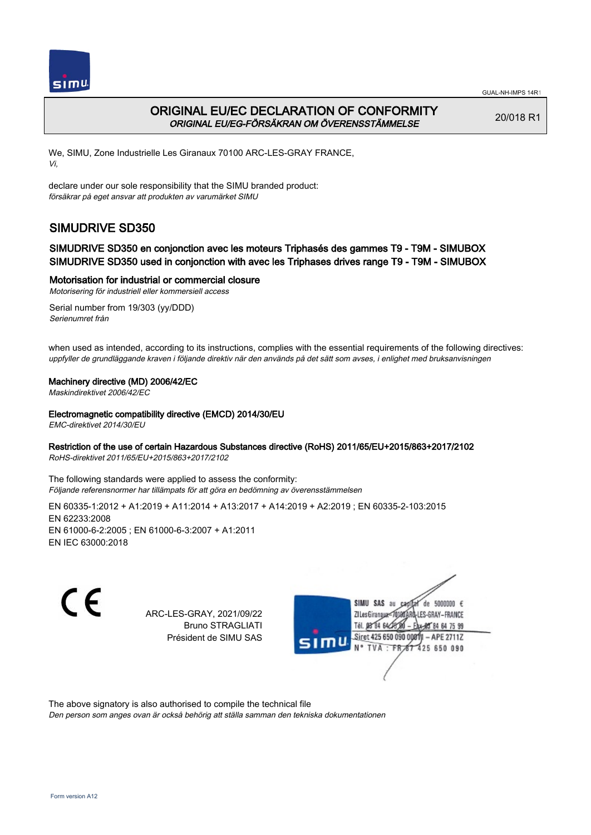

## ORIGINAL EU/EC DECLARATION OF CONFORMITY ORIGINAL EU/EG-FÖRSÄKRAN OM ÖVERENSSTÄMMELSE

20/018 R1

We, SIMU, Zone Industrielle Les Giranaux 70100 ARC-LES-GRAY FRANCE, Vi,

declare under our sole responsibility that the SIMU branded product: försäkrar på eget ansvar att produkten av varumärket SIMU

# SIMUDRIVE SD350

### SIMUDRIVE SD350 en conjonction avec les moteurs Triphasés des gammes T9 - T9M - SIMUBOX SIMUDRIVE SD350 used in conjonction with avec les Triphases drives range T9 - T9M - SIMUBOX

Motorisation for industrial or commercial closure

Motorisering för industriell eller kommersiell access Serial number from 19/303 (yy/DDD)

Serienumret från

when used as intended, according to its instructions, complies with the essential requirements of the following directives: uppfyller de grundläggande kraven i följande direktiv när den används på det sätt som avses, i enlighet med bruksanvisningen

#### Machinery directive (MD) 2006/42/EC

Maskindirektivet 2006/42/EC

Electromagnetic compatibility directive (EMCD) 2014/30/EU

EMC-direktivet 2014/30/EU

#### Restriction of the use of certain Hazardous Substances directive (RoHS) 2011/65/EU+2015/863+2017/2102

RoHS-direktivet 2011/65/EU+2015/863+2017/2102

The following standards were applied to assess the conformity: Följande referensnormer har tillämpats för att göra en bedömning av överensstämmelsen

EN 60335‑1:2012 + A1:2019 + A11:2014 + A13:2017 + A14:2019 + A2:2019 ; EN 60335‑2‑103:2015 EN 62233:2008 EN 61000‑6‑2:2005 ; EN 61000‑6‑3:2007 + A1:2011 EN IEC 63000:2018

CE

ARC-LES-GRAY, 2021/09/22 Bruno STRAGLIATI Président de SIMU SAS



The above signatory is also authorised to compile the technical file

Den person som anges ovan är också behörig att ställa samman den tekniska dokumentationen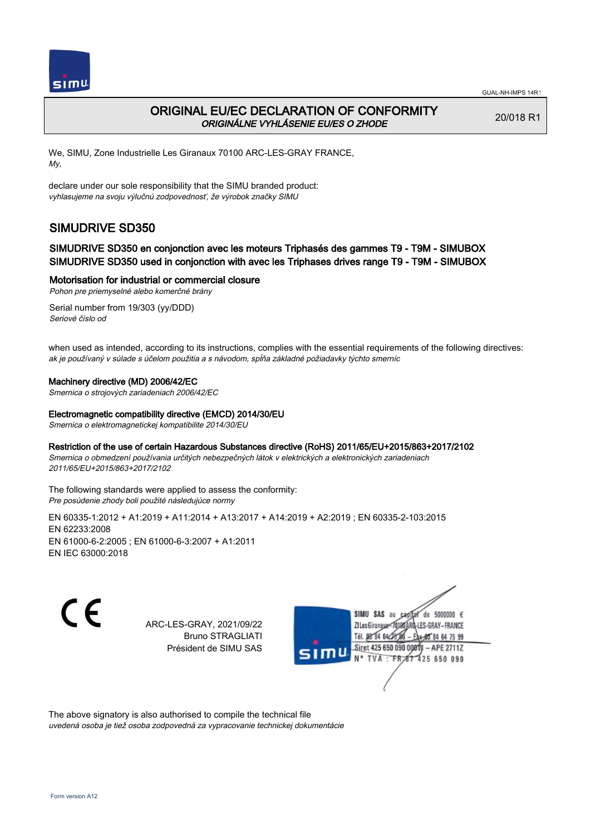

## ORIGINAL EU/EC DECLARATION OF CONFORMITY ORIGINÁLNE VYHLÁSENIE EU/ES O ZHODE

20/018 R1

We, SIMU, Zone Industrielle Les Giranaux 70100 ARC-LES-GRAY FRANCE, My,

declare under our sole responsibility that the SIMU branded product: vyhlasujeme na svoju výlučnú zodpovednosť, že výrobok značky SIMU

# SIMUDRIVE SD350

### SIMUDRIVE SD350 en conjonction avec les moteurs Triphasés des gammes T9 - T9M - SIMUBOX SIMUDRIVE SD350 used in conjonction with avec les Triphases drives range T9 - T9M - SIMUBOX

#### Motorisation for industrial or commercial closure

Pohon pre priemyselné alebo komerčné brány

Serial number from 19/303 (yy/DDD) Seriové číslo od

when used as intended, according to its instructions, complies with the essential requirements of the following directives: ak je používaný v súlade s účelom použitia a s návodom, spĺňa základné požiadavky týchto smerníc

#### Machinery directive (MD) 2006/42/EC

Smernica o strojových zariadeniach 2006/42/EC

#### Electromagnetic compatibility directive (EMCD) 2014/30/EU

Smernica o elektromagnetickej kompatibilite 2014/30/EU

Restriction of the use of certain Hazardous Substances directive (RoHS) 2011/65/EU+2015/863+2017/2102 Smernica o obmedzení používania určitých nebezpečných látok v elektrických a elektronických zariadeniach

2011/65/EU+2015/863+2017/2102

The following standards were applied to assess the conformity: Pre posúdenie zhody boli použité následujúce normy

EN 60335‑1:2012 + A1:2019 + A11:2014 + A13:2017 + A14:2019 + A2:2019 ; EN 60335‑2‑103:2015 EN 62233:2008 EN 61000‑6‑2:2005 ; EN 61000‑6‑3:2007 + A1:2011 EN IEC 63000:2018

C E

ARC-LES-GRAY, 2021/09/22 Bruno STRAGLIATI Président de SIMU SAS



The above signatory is also authorised to compile the technical file uvedená osoba je tiež osoba zodpovedná za vypracovanie technickej dokumentácie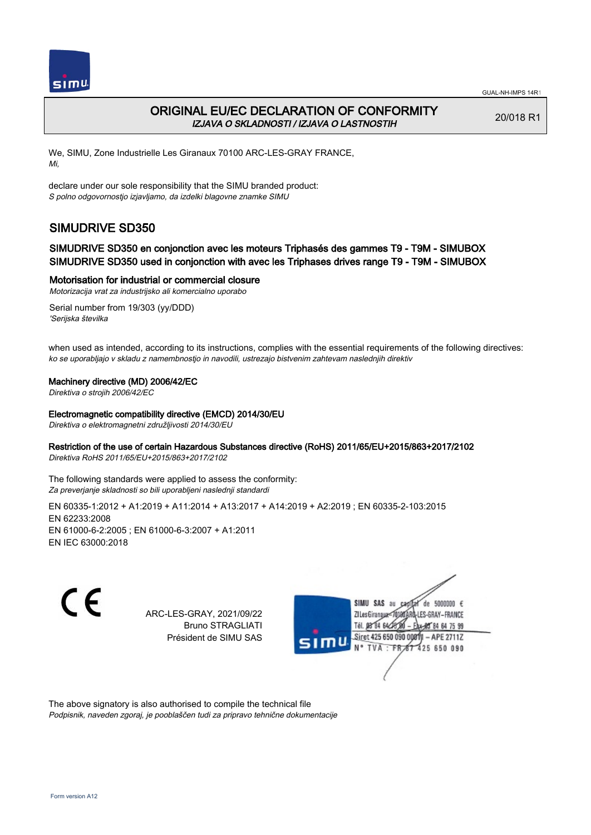

## ORIGINAL EU/EC DECLARATION OF CONFORMITY IZJAVA O SKLADNOSTI / IZJAVA O LASTNOSTIH

20/018 R1

We, SIMU, Zone Industrielle Les Giranaux 70100 ARC-LES-GRAY FRANCE, Mi,

declare under our sole responsibility that the SIMU branded product: S polno odgovornostjo izjavljamo, da izdelki blagovne znamke SIMU

# SIMUDRIVE SD350

### SIMUDRIVE SD350 en conjonction avec les moteurs Triphasés des gammes T9 - T9M - SIMUBOX SIMUDRIVE SD350 used in conjonction with avec les Triphases drives range T9 - T9M - SIMUBOX

Motorisation for industrial or commercial closure

Motorizacija vrat za industrijsko ali komercialno uporabo

Serial number from 19/303 (yy/DDD) 'Serijska številka

when used as intended, according to its instructions, complies with the essential requirements of the following directives: ko se uporabljajo v skladu z namembnostjo in navodili, ustrezajo bistvenim zahtevam naslednjih direktiv

#### Machinery directive (MD) 2006/42/EC

Direktiva o strojih 2006/42/EC

#### Electromagnetic compatibility directive (EMCD) 2014/30/EU

Direktiva o elektromagnetni združljivosti 2014/30/EU

#### Restriction of the use of certain Hazardous Substances directive (RoHS) 2011/65/EU+2015/863+2017/2102

Direktiva RoHS 2011/65/EU+2015/863+2017/2102

The following standards were applied to assess the conformity: Za preverjanje skladnosti so bili uporabljeni naslednji standardi

EN 60335‑1:2012 + A1:2019 + A11:2014 + A13:2017 + A14:2019 + A2:2019 ; EN 60335‑2‑103:2015 EN 62233:2008 EN 61000‑6‑2:2005 ; EN 61000‑6‑3:2007 + A1:2011 EN IEC 63000:2018

CE

ARC-LES-GRAY, 2021/09/22 Bruno STRAGLIATI Président de SIMU SAS



The above signatory is also authorised to compile the technical file Podpisnik, naveden zgoraj, je pooblaščen tudi za pripravo tehnične dokumentacije